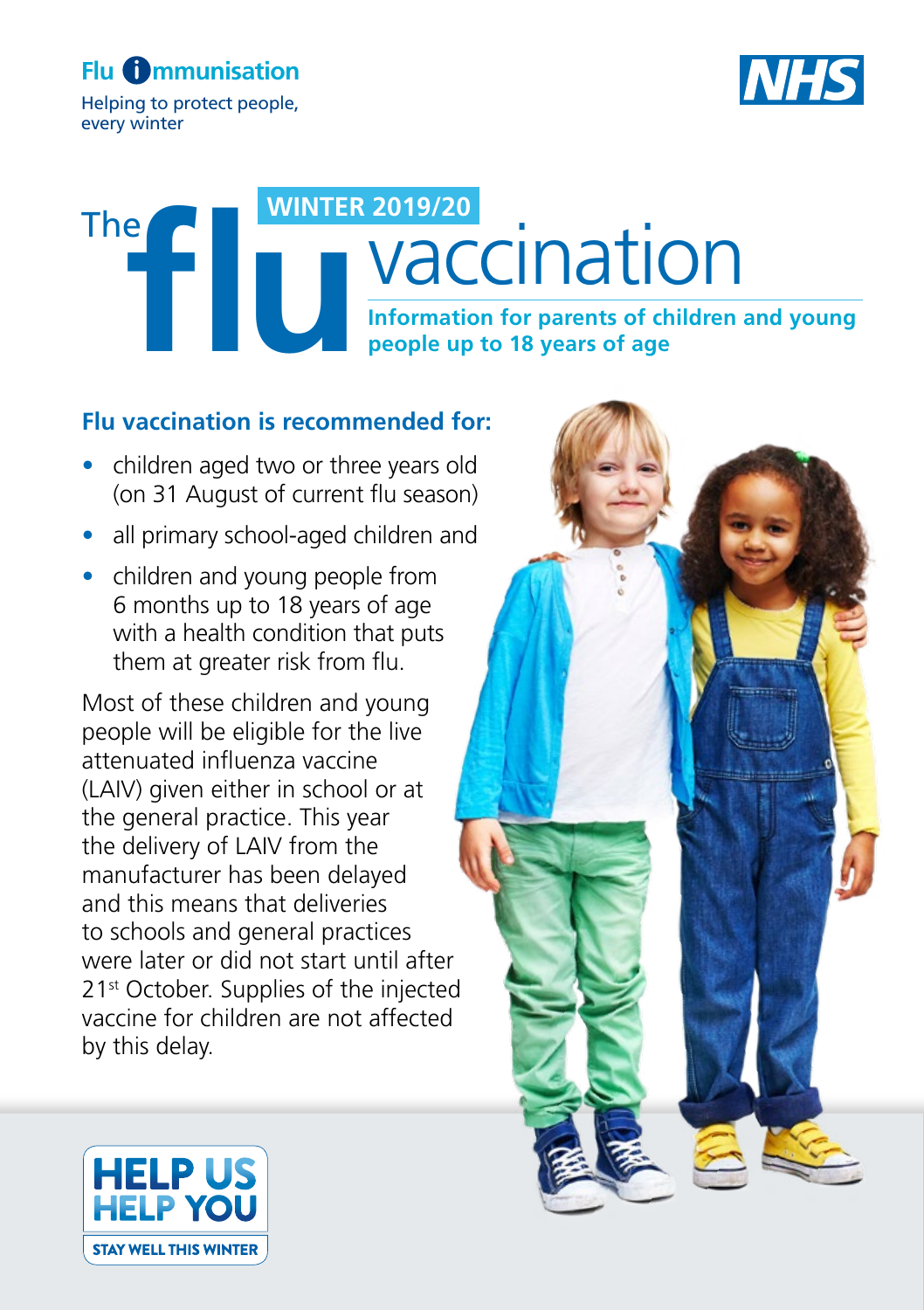Helping to protect people, every winter



# **INFORM 2019/20<br>
Information for parents of children and young<br>
people up to 18 years of age vaccination WINTER 2019/20** The

#### **Flu vaccination is recommended for:**

- children aged two or three years old (on 31 August of current flu season)
- all primary school-aged children and
- children and young people from 6 months up to 18 years of age with a health condition that puts them at greater risk from flu.

Most of these children and young people will be eligible for the live attenuated influenza vaccine (LAIV) given either in school or at the general practice. This year the delivery of LAIV from the manufacturer has been delayed and this means that deliveries to schools and general practices were later or did not start until after 21<sup>st</sup> October. Supplies of the injected vaccine for children are not affected by this delay.